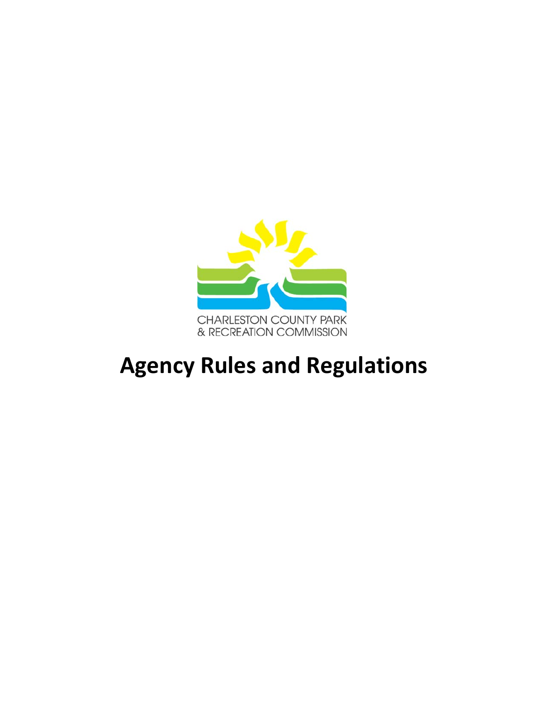

# **Agency Rules and Regulations**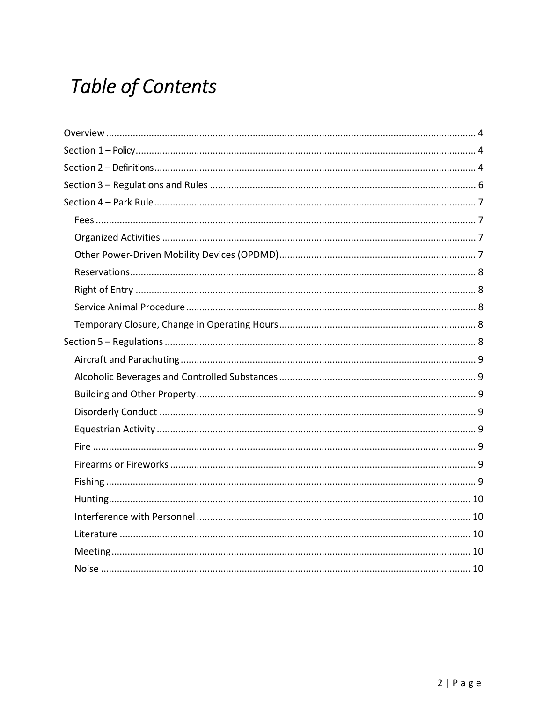## **Table of Contents**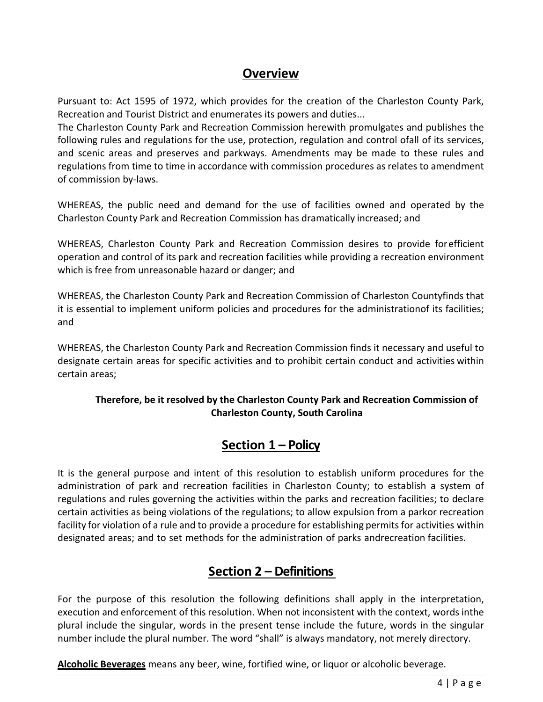## **Overview**

Pursuant to: Act 1595 of 1972, which provides for the creation of the Charleston County Park, Recreation and Tourist District and enumerates its powers and duties...

The Charleston County Park and Recreation Commission herewith promulgates and publishes the following rules and regulations for the use, protection, regulation and control of all of its services, and scenic areas and preserves and parkways. Amendments may be made to these rules and regulations from time to time in accordance with commission procedures as relates to amendment of commission by‐laws.

WHEREAS, the public need and demand for the use of facilities owned and operated by the Charleston County Park and Recreation Commission has dramatically increased; and

WHEREAS, Charleston County Park and Recreation Commission desires to provide for efficient operation and control of its park and recreation facilities while providing a recreation environment which is free from unreasonable hazard or danger; and

WHEREAS, the Charleston County Park and Recreation Commission of Charleston Countyfinds that it is essential to implement uniform policies and procedures for the administration of its facilities; and

WHEREAS, the Charleston County Park and Recreation Commission finds it necessary and useful to designate certain areas for specific activities and to prohibit certain conduct and activities within certain areas;

#### **Therefore, be it resolved by the Charleston County Park and Recreation Commission of Charleston County, South Carolina**

## **Section 1 – Policy**

It is the general purpose and intent of this resolution to establish uniform procedures for the administration of park and recreation facilities in Charleston County; to establish a system of regulations and rules governing the activities within the parks and recreation facilities; to declare certain activities as being violations of the regulations; to allow expulsion from a parkor recreation facility for violation of a rule and to provide a procedure for establishing permits for activities within designated areas; and to set methods for the administration of parks and recreation facilities.

## **Section 2 – Definitions**

For the purpose of this resolution the following definitions shall apply in the interpretation, execution and enforcement of this resolution. When not inconsistent with the context, words inthe plural include the singular, words in the present tense include the future, words in the singular number include the plural number. The word "shall" is always mandatory, not merely directory.

**Alcoholic Beverages** means any beer, wine, fortified wine, or liquor or alcoholic beverage.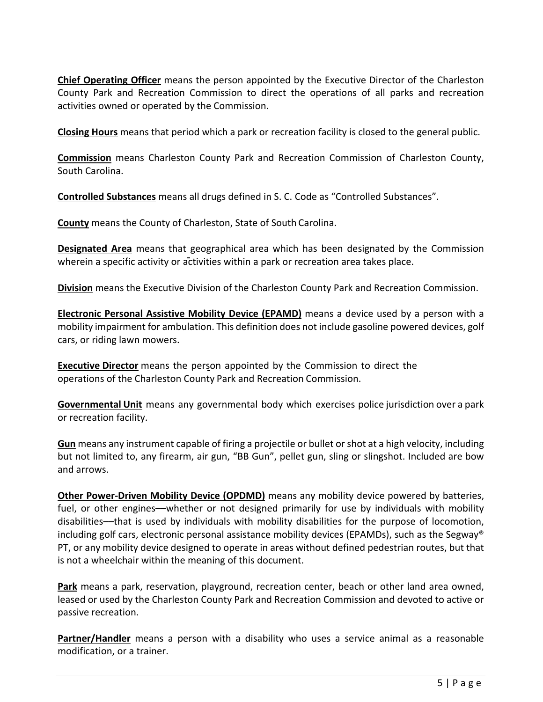**Chief Operating Officer** means the person appointed by the Executive Director of the Charleston County Park and Recreation Commission to direct the operations of all parks and recreation activities owned or operated by the Commission.

**Closing Hours** means that period which a park or recreation facility is closed to the general public.

**Commission** means Charleston County Park and Recreation Commission of Charleston County, South Carolina.

**Controlled Substances** means all drugs defined in S. C. Code as "Controlled Substances".

**County** means the County of Charleston, State of South Carolina.

**Designated Area** means that geographical area which has been designated by the Commission wherein a specific activity or activities within a park or recreation area takes place.

**Division** means the Executive Division of the Charleston County Park and Recreation Commission.

**Electronic Personal Assistive Mobility Device (EPAMD)** means a device used by a person with a mobility impairment for ambulation. This definition does not include gasoline powered devices, golf cars, or riding lawn mowers.

**Executive Director** means the person appointed by the Commission to direct the operations of the Charleston County Park and Recreation Commission.

**Governmental Unit** means any governmental body which exercises police jurisdiction over a park or recreation facility.

**Gun** means any instrument capable of firing a projectile or bullet or shot at a high velocity, including but not limited to, any firearm, air gun, "BB Gun", pellet gun, sling or slingshot. Included are bow and arrows.

**Other Power-Driven Mobility Device (OPDMD)** means any mobility device powered by batteries, fuel, or other engines—whether or not designed primarily for use by individuals with mobility disabilities––that is used by individuals with mobility disabilities for the purpose of locomotion, including golf cars, electronic personal assistance mobility devices (EPAMDs), such as the Segway® PT, or any mobility device designed to operate in areas without defined pedestrian routes, but that is not a wheelchair within the meaning of this document.

**Park** means a park, reservation, playground, recreation center, beach or other land area owned, leased or used by the Charleston County Park and Recreation Commission and devoted to active or passive recreation.

Partner/Handler means a person with a disability who uses a service animal as a reasonable modification, or a trainer.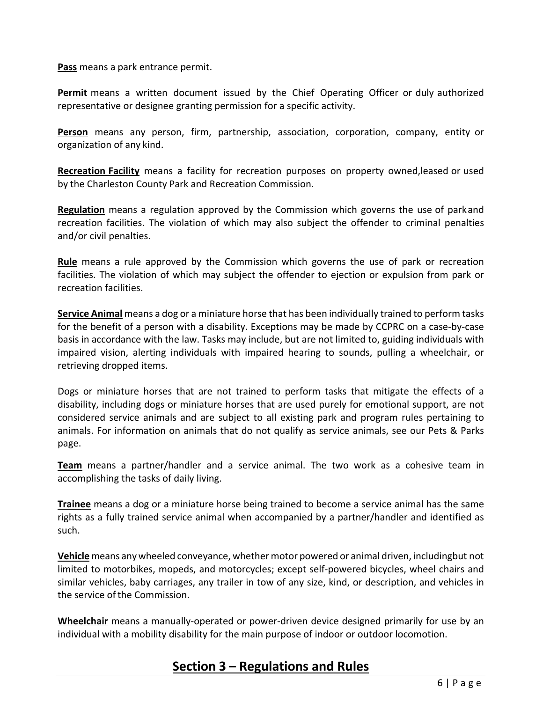**Pass** means a park entrance permit.

**Permit** means a written document issued by the Chief Operating Officer or duly authorized representative or designee granting permission for a specific activity.

**Person**  means any person, firm, partnership, association, corporation, company, entity or organization of any kind.

**Recreation Facility** means a facility for recreation purposes on property owned, leased or used by the Charleston County Park and Recreation Commission.

**Regulation** means a regulation approved by the Commission which governs the use of parkand recreation facilities. The violation of which may also subject the offender to criminal penalties and/or civil penalties.

**Rule** means a rule approved by the Commission which governs the use of park or recreation facilities. The violation of which may subject the offender to ejection or expulsion from park or recreation facilities.

**Service Animal** means a dog or a miniature horse that has been individually trained to perform tasks for the benefit of a person with a disability. Exceptions may be made by CCPRC on a case-by-case basis in accordance with the law. Tasks may include, but are not limited to, guiding individuals with impaired vision, alerting individuals with impaired hearing to sounds, pulling a wheelchair, or retrieving dropped items.

Dogs or miniature horses that are not trained to perform tasks that mitigate the effects of a disability, including dogs or miniature horses that are used purely for emotional support, are not considered service animals and are subject to all existing park and program rules pertaining to animals. For information on animals that do not qualify as service animals, see our Pets & Parks page.

**Team** means a partner/handler and a service animal. The two work as a cohesive team in accomplishing the tasks of daily living.

**Trainee** means a dog or a miniature horse being trained to become a service animal has the same rights as a fully trained service animal when accompanied by a partner/handler and identified as such.

**Vehicle**means any wheeled conveyance, whether motor powered or animal driven, including but not limited to motorbikes, mopeds, and motorcycles; except self‐powered bicycles, wheel chairs and similar vehicles, baby carriages, any trailer in tow of any size, kind, or description, and vehicles in the service of the Commission.

**Wheelchair** means a manually-operated or power-driven device designed primarily for use by an individual with a mobility disability for the main purpose of indoor or outdoor locomotion.

## **Section 3 – Regulations and Rules**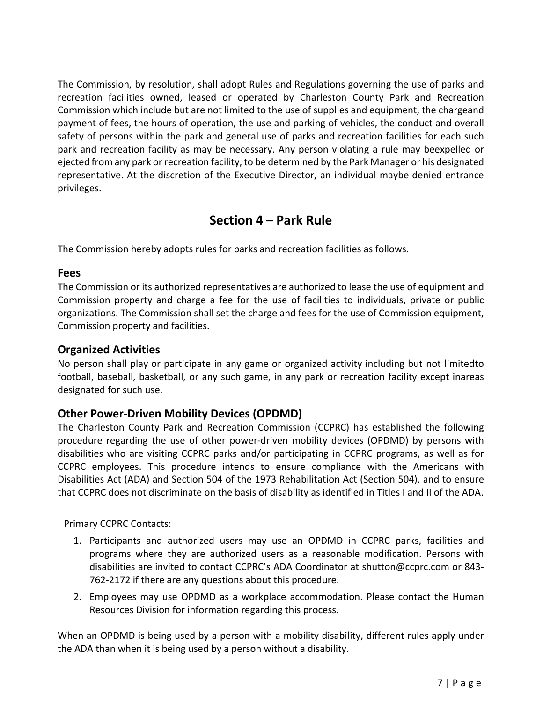The Commission, by resolution, shall adopt Rules and Regulations governing the use of parks and recreation facilities owned, leased or operated by Charleston County Park and Recreation Commission which include but are not limited to the use of supplies and equipment, the charge and payment of fees, the hours of operation, the use and parking of vehicles, the conduct and overall safety of persons within the park and general use of parks and recreation facilities for each such park and recreation facility as may be necessary. Any person violating a rule may beexpelled or ejected from any park or recreation facility, to be determined by the Park Manager or his designated representative. At the discretion of the Executive Director, an individual maybe denied entrance privileges.

## **Section 4 – Park Rule**

The Commission hereby adopts rules for parks and recreation facilities as follows.

#### **Fees**

The Commission or its authorized representatives are authorized to lease the use of equipment and Commission property and charge a fee for the use of facilities to individuals, private or public organizations. The Commission shall set the charge and fees for the use of Commission equipment, Commission property and facilities.

#### **Organized Activities**

No person shall play or participate in any game or organized activity including but not limited to football, baseball, basketball, or any such game, in any park or recreation facility except inareas designated for such use.

#### **Other Power‐Driven Mobility Devices (OPDMD)**

The Charleston County Park and Recreation Commission (CCPRC) has established the following procedure regarding the use of other power-driven mobility devices (OPDMD) by persons with disabilities who are visiting CCPRC parks and/or participating in CCPRC programs, as well as for CCPRC employees. This procedure intends to ensure compliance with the Americans with Disabilities Act (ADA) and Section 504 of the 1973 Rehabilitation Act (Section 504), and to ensure that CCPRC does not discriminate on the basis of disability as identified in Titles I and II of the ADA.

Primary CCPRC Contacts:

- 1. Participants and authorized users may use an OPDMD in CCPRC parks, facilities and programs where they are authorized users as a reasonable modification. Persons with disabilities are invited to contact CCPRC's ADA Coordinator at shutton@ccprc.com or 843‐ 762-2172 if there are any questions about this procedure.
- 2. Employees may use OPDMD as a workplace accommodation. Please contact the Human Resources Division for information regarding this process.

When an OPDMD is being used by a person with a mobility disability, different rules apply under the ADA than when it is being used by a person without a disability.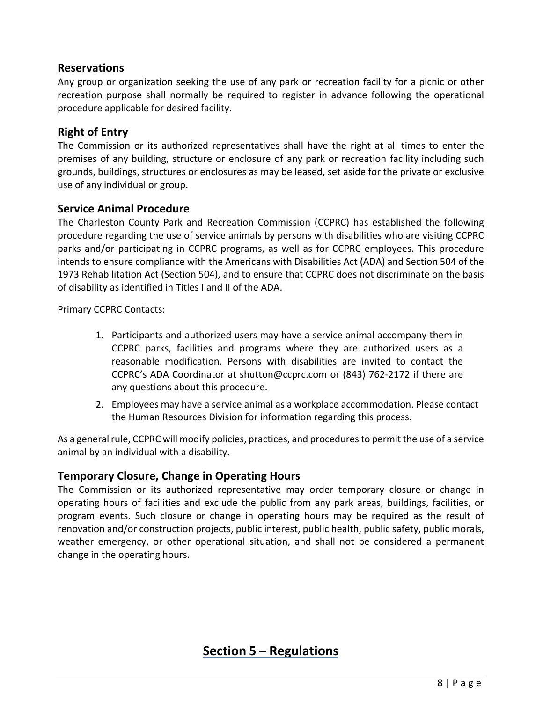#### **Reservations**

Any group or organization seeking the use of any park or recreation facility for a picnic or other recreation purpose shall normally be required to register in advance following the operational procedure applicable for desired facility.

#### **Right of Entry**

The Commission or its authorized representatives shall have the right at all times to enter the premises of any building, structure or enclosure of any park or recreation facility including such grounds, buildings, structures or enclosures as may be leased, set aside for the private or exclusive use of any individual or group.

#### **Service Animal Procedure**

The Charleston County Park and Recreation Commission (CCPRC) has established the following procedure regarding the use of service animals by persons with disabilities who are visiting CCPRC parks and/or participating in CCPRC programs, as well as for CCPRC employees. This procedure intends to ensure compliance with the Americans with Disabilities Act (ADA) and Section 504 of the 1973 Rehabilitation Act (Section 504), and to ensure that CCPRC does not discriminate on the basis of disability as identified in Titles I and II of the ADA.

Primary CCPRC Contacts:

- 1. Participants and authorized users may have a service animal accompany them in CCPRC parks, facilities and programs where they are authorized users as a reasonable modification. Persons with disabilities are invited to contact the CCPRC's ADA Coordinator at shutton@ccprc.com or (843) 762‐2172 if there are any questions about this procedure.
- 2. Employees may have a service animal as a workplace accommodation. Please contact the Human Resources Division for information regarding this process.

As a general rule, CCPRC will modify policies, practices, and procedures to permit the use of a service animal by an individual with a disability.

#### **Temporary Closure, Change in Operating Hours**

The Commission or its authorized representative may order temporary closure or change in operating hours of facilities and exclude the public from any park areas, buildings, facilities, or program events. Such closure or change in operating hours may be required as the result of renovation and/or construction projects, public interest, public health, public safety, public morals, weather emergency, or other operational situation, and shall not be considered a permanent change in the operating hours.

## **Section 5 – Regulations**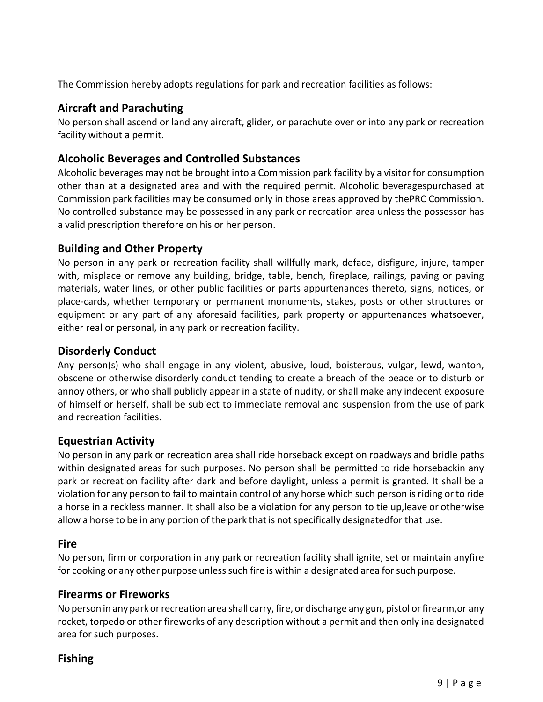The Commission hereby adopts regulations for park and recreation facilities as follows:

#### **Aircraft and Parachuting**

No person shall ascend or land any aircraft, glider, or parachute over or into any park or recreation facility without a permit.

#### **Alcoholic Beverages and Controlled Substances**

Alcoholic beverages may not be brought into a Commission park facility by a visitor for consumption other than at a designated area and with the required permit. Alcoholic beverages purchased at Commission park facilities may be consumed only in those areas approved by the PRC Commission. No controlled substance may be possessed in any park or recreation area unless the possessor has a valid prescription therefore on his or her person.

#### **Building and Other Property**

No person in any park or recreation facility shall willfully mark, deface, disfigure, injure, tamper with, misplace or remove any building, bridge, table, bench, fireplace, railings, paving or paving materials, water lines, or other public facilities or parts appurtenances thereto, signs, notices, or place-cards, whether temporary or permanent monuments, stakes, posts or other structures or equipment or any part of any aforesaid facilities, park property or appurtenances whatsoever, either real or personal, in any park or recreation facility.

#### **Disorderly Conduct**

Any person(s) who shall engage in any violent, abusive, loud, boisterous, vulgar, lewd, wanton, obscene or otherwise disorderly conduct tending to create a breach of the peace or to disturb or annoy others, or who shall publicly appear in a state of nudity, or shall make any indecent exposure of himself or herself, shall be subject to immediate removal and suspension from the use of park and recreation facilities.

#### **Equestrian Activity**

No person in any park or recreation area shall ride horseback except on roadways and bridle paths within designated areas for such purposes. No person shall be permitted to ride horsebackin any park or recreation facility after dark and before daylight, unless a permit is granted. It shall be a violation for any person to fail to maintain control of any horse which such person is riding or to ride a horse in a reckless manner. It shall also be a violation for any person to tie up, leave or otherwise allow a horse to be in any portion of the park that is not specifically designated for that use.

#### **Fire**

No person, firm or corporation in any park or recreation facility shall ignite, set or maintain any fire for cooking or any other purpose unless such fire is within a designated area for such purpose.

#### **Firearms or Fireworks**

No person in any park or recreation area shall carry, fire, or discharge any gun, pistol or firearm, or any rocket, torpedo or other fireworks of any description without a permit and then only ina designated area for such purposes.

#### **Fishing**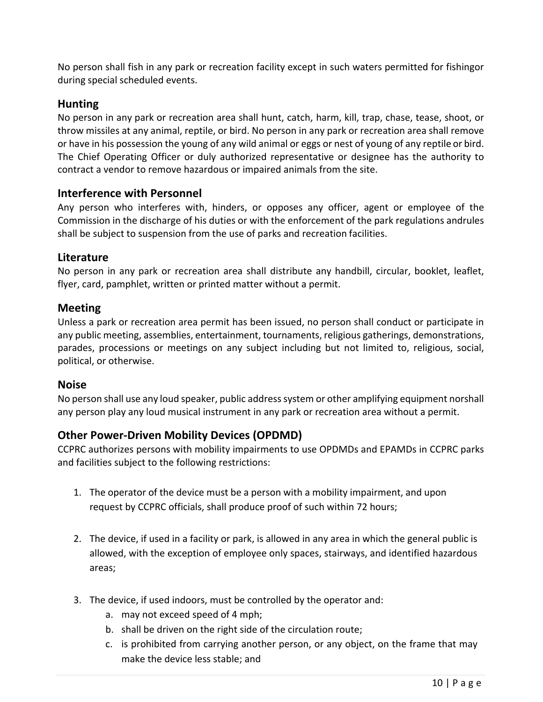No person shall fish in any park or recreation facility except in such waters permitted for fishingor during special scheduled events.

#### **Hunting**

No person in any park or recreation area shall hunt, catch, harm, kill, trap, chase, tease, shoot, or throw missiles at any animal, reptile, or bird. No person in any park or recreation area shall remove or have in his possession the young of any wild animal or eggs or nest of young of any reptile or bird. The Chief Operating Officer or duly authorized representative or designee has the authority to contract a vendor to remove hazardous or impaired animals from the site.

#### **Interference with Personnel**

Any person who interferes with, hinders, or opposes any officer, agent or employee of the Commission in the discharge of his duties or with the enforcement of the park regulations and rules shall be subject to suspension from the use of parks and recreation facilities.

#### **Literature**

No person in any park or recreation area shall distribute any handbill, circular, booklet, leaflet, flyer, card, pamphlet, written or printed matter without a permit.

#### **Meeting**

Unless a park or recreation area permit has been issued, no person shall conduct or participate in any public meeting, assemblies, entertainment, tournaments, religious gatherings, demonstrations, parades, processions or meetings on any subject including but not limited to, religious, social, political, or otherwise.

#### **Noise**

No person shall use any loud speaker, public address system or other amplifying equipment norshall any person play any loud musical instrument in any park or recreation area without a permit.

#### **Other Power‐Driven Mobility Devices (OPDMD)**

CCPRC authorizes persons with mobility impairments to use OPDMDs and EPAMDs in CCPRC parks and facilities subject to the following restrictions:

- 1. The operator of the device must be a person with a mobility impairment, and upon request by CCPRC officials, shall produce proof of such within 72 hours;
- 2. The device, if used in a facility or park, is allowed in any area in which the general public is allowed, with the exception of employee only spaces, stairways, and identified hazardous areas;
- 3. The device, if used indoors, must be controlled by the operator and:
	- a. may not exceed speed of 4 mph;
	- b. shall be driven on the right side of the circulation route;
	- c. is prohibited from carrying another person, or any object, on the frame that may make the device less stable; and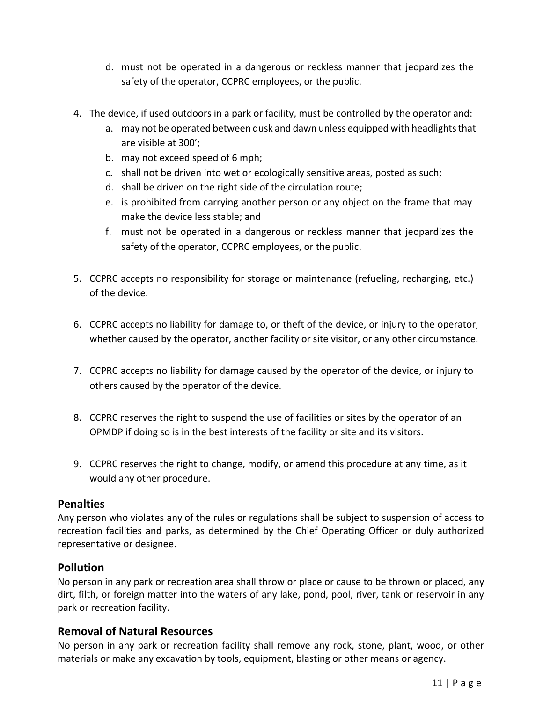- d. must not be operated in a dangerous or reckless manner that jeopardizes the safety of the operator, CCPRC employees, or the public.
- 4. The device, if used outdoors in a park or facility, must be controlled by the operator and:
	- a. may not be operated between dusk and dawn unless equipped with headlights that are visible at 300';
	- b. may not exceed speed of 6 mph;
	- c. shall not be driven into wet or ecologically sensitive areas, posted as such;
	- d. shall be driven on the right side of the circulation route;
	- e. is prohibited from carrying another person or any object on the frame that may make the device less stable; and
	- f. must not be operated in a dangerous or reckless manner that jeopardizes the safety of the operator, CCPRC employees, or the public.
- 5. CCPRC accepts no responsibility for storage or maintenance (refueling, recharging, etc.) of the device.
- 6. CCPRC accepts no liability for damage to, or theft of the device, or injury to the operator, whether caused by the operator, another facility or site visitor, or any other circumstance.
- 7. CCPRC accepts no liability for damage caused by the operator of the device, or injury to others caused by the operator of the device.
- 8. CCPRC reserves the right to suspend the use of facilities or sites by the operator of an OPMDP if doing so is in the best interests of the facility or site and its visitors.
- 9. CCPRC reserves the right to change, modify, or amend this procedure at any time, as it would any other procedure.

#### **Penalties**

Any person who violates any of the rules or regulations shall be subject to suspension of access to recreation facilities and parks, as determined by the Chief Operating Officer or duly authorized representative or designee.

#### **Pollution**

No person in any park or recreation area shall throw or place or cause to be thrown or placed, any dirt, filth, or foreign matter into the waters of any lake, pond, pool, river, tank or reservoir in any park or recreation facility.

#### **Removal of Natural Resources**

No person in any park or recreation facility shall remove any rock, stone, plant, wood, or other materials or make any excavation by tools, equipment, blasting or other means or agency.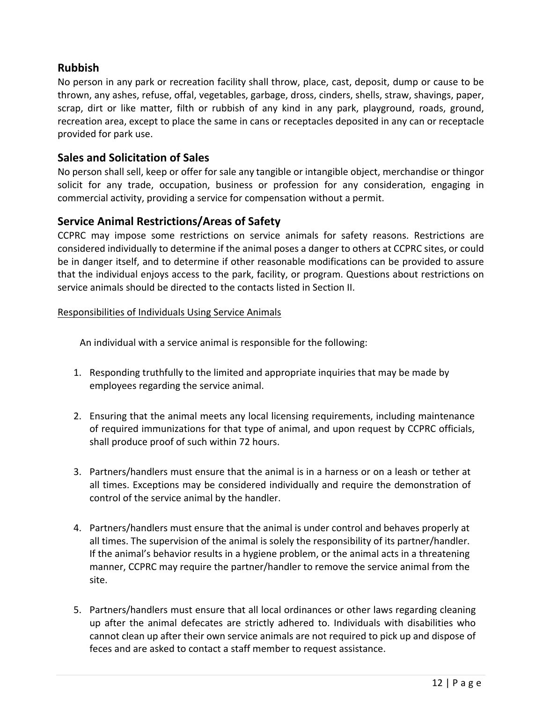#### **Rubbish**

No person in any park or recreation facility shall throw, place, cast, deposit, dump or cause to be thrown, any ashes, refuse, offal, vegetables, garbage, dross, cinders, shells, straw, shavings, paper, scrap, dirt or like matter, filth or rubbish of any kind in any park, playground, roads, ground, recreation area, except to place the same in cans or receptacles deposited in any can or receptacle provided for park use.

#### **Sales and Solicitation of Sales**

No person shall sell, keep or offer for sale any tangible or intangible object, merchandise or thing or solicit for any trade, occupation, business or profession for any consideration, engaging in commercial activity, providing a service for compensation without a permit.

#### **Service Animal Restrictions/Areas of Safety**

CCPRC may impose some restrictions on service animals for safety reasons. Restrictions are considered individually to determine if the animal poses a danger to others at CCPRC sites, or could be in danger itself, and to determine if other reasonable modifications can be provided to assure that the individual enjoys access to the park, facility, or program. Questions about restrictions on service animals should be directed to the contacts listed in Section II.

#### Responsibilities of Individuals Using Service Animals

An individual with a service animal is responsible for the following:

- 1. Responding truthfully to the limited and appropriate inquiries that may be made by employees regarding the service animal.
- 2. Ensuring that the animal meets any local licensing requirements, including maintenance of required immunizations for that type of animal, and upon request by CCPRC officials, shall produce proof of such within 72 hours.
- 3. Partners/handlers must ensure that the animal is in a harness or on a leash or tether at all times. Exceptions may be considered individually and require the demonstration of control of the service animal by the handler.
- 4. Partners/handlers must ensure that the animal is under control and behaves properly at all times. The supervision of the animal is solely the responsibility of its partner/handler. If the animal's behavior results in a hygiene problem, or the animal acts in a threatening manner, CCPRC may require the partner/handler to remove the service animal from the site.
- 5. Partners/handlers must ensure that all local ordinances or other laws regarding cleaning up after the animal defecates are strictly adhered to. Individuals with disabilities who cannot clean up after their own service animals are not required to pick up and dispose of feces and are asked to contact a staff member to request assistance.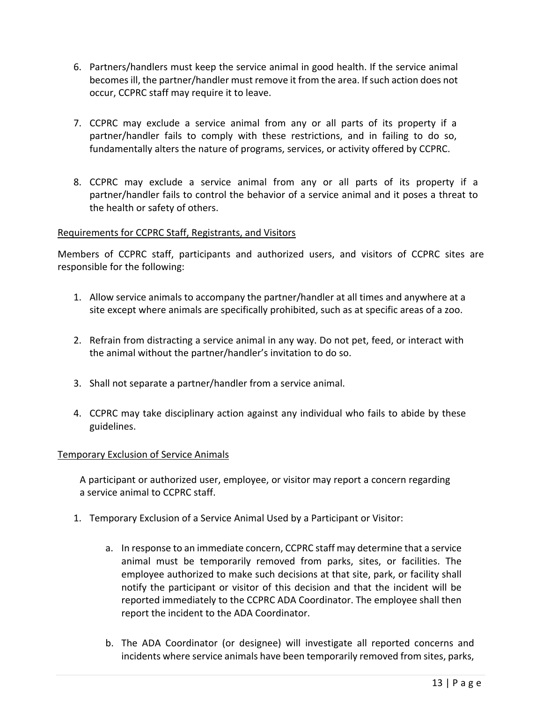- 6. Partners/handlers must keep the service animal in good health. If the service animal becomes ill, the partner/handler must remove it from the area. If such action does not occur, CCPRC staff may require it to leave.
- 7. CCPRC may exclude a service animal from any or all parts of its property if a partner/handler fails to comply with these restrictions, and in failing to do so, fundamentally alters the nature of programs, services, or activity offered by CCPRC.
- 8. CCPRC may exclude a service animal from any or all parts of its property if a partner/handler fails to control the behavior of a service animal and it poses a threat to the health or safety of others.

#### Requirements for CCPRC Staff, Registrants, and Visitors

Members of CCPRC staff, participants and authorized users, and visitors of CCPRC sites are responsible for the following:

- 1. Allow service animals to accompany the partner/handler at all times and anywhere at a site except where animals are specifically prohibited, such as at specific areas of a zoo.
- 2. Refrain from distracting a service animal in any way. Do not pet, feed, or interact with the animal without the partner/handler's invitation to do so.
- 3. Shall not separate a partner/handler from a service animal.
- 4. CCPRC may take disciplinary action against any individual who fails to abide by these guidelines.

#### Temporary Exclusion of Service Animals

A participant or authorized user, employee, or visitor may report a concern regarding a service animal to CCPRC staff.

- 1. Temporary Exclusion of a Service Animal Used by a Participant or Visitor:
	- a. In response to an immediate concern, CCPRC staff may determine that a service animal must be temporarily removed from parks, sites, or facilities. The employee authorized to make such decisions at that site, park, or facility shall notify the participant or visitor of this decision and that the incident will be reported immediately to the CCPRC ADA Coordinator. The employee shall then report the incident to the ADA Coordinator.
	- b. The ADA Coordinator (or designee) will investigate all reported concerns and incidents where service animals have been temporarily removed from sites, parks,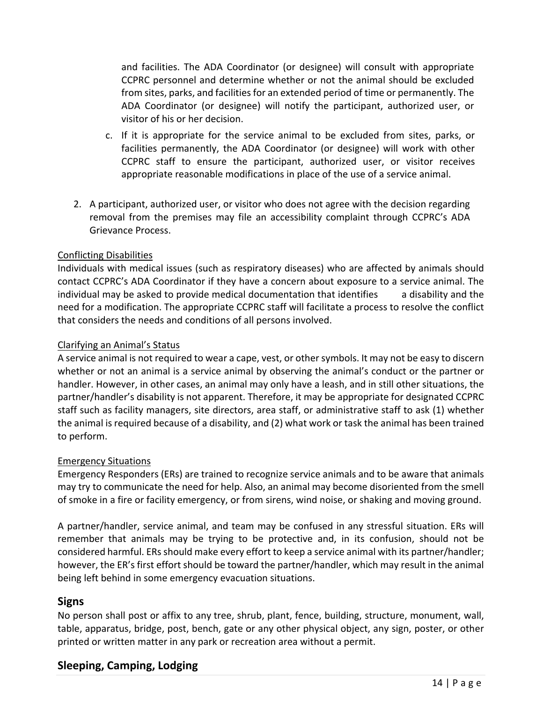and facilities. The ADA Coordinator (or designee) will consult with appropriate CCPRC personnel and determine whether or not the animal should be excluded from sites, parks, and facilities for an extended period of time or permanently. The ADA Coordinator (or designee) will notify the participant, authorized user, or visitor of his or her decision.

- c. If it is appropriate for the service animal to be excluded from sites, parks, or facilities permanently, the ADA Coordinator (or designee) will work with other CCPRC staff to ensure the participant, authorized user, or visitor receives appropriate reasonable modifications in place of the use of a service animal.
- 2. A participant, authorized user, or visitor who does not agree with the decision regarding removal from the premises may file an accessibility complaint through CCPRC's ADA Grievance Process.

#### Conflicting Disabilities

Individuals with medical issues (such as respiratory diseases) who are affected by animals should contact CCPRC's ADA Coordinator if they have a concern about exposure to a service animal. The individual may be asked to provide medical documentation that identifies a disability and the need for a modification. The appropriate CCPRC staff will facilitate a process to resolve the conflict that considers the needs and conditions of all persons involved.

#### Clarifying an Animal's Status

A service animal is not required to wear a cape, vest, or other symbols. It may not be easy to discern whether or not an animal is a service animal by observing the animal's conduct or the partner or handler. However, in other cases, an animal may only have a leash, and in still other situations, the partner/handler's disability is not apparent. Therefore, it may be appropriate for designated CCPRC staff such as facility managers, site directors, area staff, or administrative staff to ask (1) whether the animal is required because of a disability, and (2) what work or task the animal has been trained to perform.

#### Emergency Situations

Emergency Responders (ERs) are trained to recognize service animals and to be aware that animals may try to communicate the need for help. Also, an animal may become disoriented from the smell of smoke in a fire or facility emergency, or from sirens, wind noise, or shaking and moving ground.

A partner/handler, service animal, and team may be confused in any stressful situation. ERs will remember that animals may be trying to be protective and, in its confusion, should not be considered harmful. ERs should make every effort to keep a service animal with its partner/handler; however, the ER's first effort should be toward the partner/handler, which may result in the animal being left behind in some emergency evacuation situations.

#### **Signs**

No person shall post or affix to any tree, shrub, plant, fence, building, structure, monument, wall, table, apparatus, bridge, post, bench, gate or any other physical object, any sign, poster, or other printed or written matter in any park or recreation area without a permit.

#### **Sleeping, Camping, Lodging**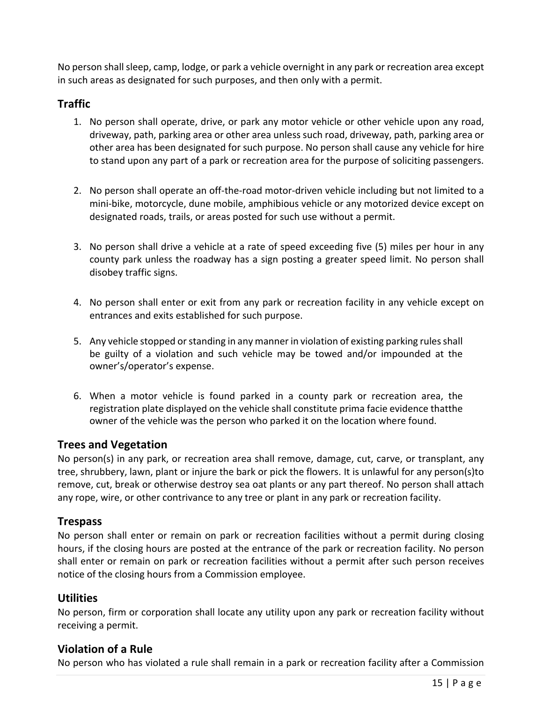No person shall sleep, camp, lodge, or park a vehicle overnight in any park or recreation area except in such areas as designated for such purposes, and then only with a permit.

#### **Traffic**

- 1. No person shall operate, drive, or park any motor vehicle or other vehicle upon any road, driveway, path, parking area or other area unless such road, driveway, path, parking area or other area has been designated for such purpose. No person shall cause any vehicle for hire to stand upon any part of a park or recreation area for the purpose of soliciting passengers.
- 2. No person shall operate an off-the-road motor-driven vehicle including but not limited to a mini-bike, motorcycle, dune mobile, amphibious vehicle or any motorized device except on designated roads, trails, or areas posted for such use without a permit.
- 3. No person shall drive a vehicle at a rate of speed exceeding five (5) miles per hour in any county park unless the roadway has a sign posting a greater speed limit. No person shall disobey traffic signs.
- 4. No person shall enter or exit from any park or recreation facility in any vehicle except on entrances and exits established for such purpose.
- 5. Any vehicle stopped or standing in any manner in violation of existing parking rules shall be guilty of a violation and such vehicle may be towed and/or impounded at the owner's/operator's expense.
- 6. When a motor vehicle is found parked in a county park or recreation area, the registration plate displayed on the vehicle shall constitute prima facie evidence that the owner of the vehicle was the person who parked it on the location where found.

#### **Trees and Vegetation**

No person(s) in any park, or recreation area shall remove, damage, cut, carve, or transplant, any tree, shrubbery, lawn, plant or injure the bark or pick the flowers. It is unlawful for any person(s) to remove, cut, break or otherwise destroy sea oat plants or any part thereof. No person shall attach any rope, wire, or other contrivance to any tree or plant in any park or recreation facility.

#### **Trespass**

No person shall enter or remain on park or recreation facilities without a permit during closing hours, if the closing hours are posted at the entrance of the park or recreation facility. No person shall enter or remain on park or recreation facilities without a permit after such person receives notice of the closing hours from a Commission employee.

#### **Utilities**

No person, firm or corporation shall locate any utility upon any park or recreation facility without receiving a permit.

#### **Violation of a Rule**

No person who has violated a rule shall remain in a park or recreation facility after a Commission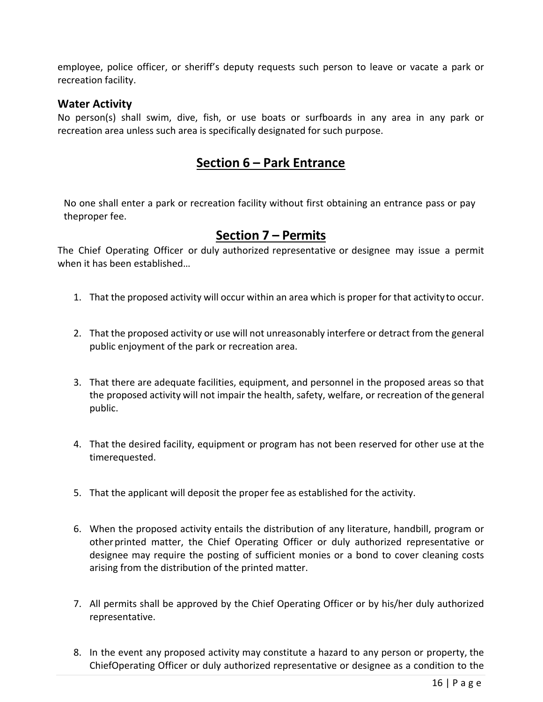employee, police officer, or sheriff's deputy requests such person to leave or vacate a park or recreation facility.

#### **Water Activity**

No person(s) shall swim, dive, fish, or use boats or surfboards in any area in any park or recreation area unless such area is specifically designated for such purpose.

### **Section 6 – Park Entrance**

No one shall enter a park or recreation facility without first obtaining an entrance pass or pay the proper fee.

#### **Section 7 – Permits**

The Chief Operating Officer or duly authorized representative or designee may issue a permit when it has been established…

- 1. That the proposed activity will occur within an area which is proper for that activity to occur.
- 2. That the proposed activity or use will not unreasonably interfere or detract from the general public enjoyment of the park or recreation area.
- 3. That there are adequate facilities, equipment, and personnel in the proposed areas so that the proposed activity will not impair the health, safety, welfare, or recreation of the general public.
- 4. That the desired facility, equipment or program has not been reserved for other use at the time requested.
- 5. That the applicant will deposit the proper fee as established for the activity.
- 6. When the proposed activity entails the distribution of any literature, handbill, program or other printed matter, the Chief Operating Officer or duly authorized representative or designee may require the posting of sufficient monies or a bond to cover cleaning costs arising from the distribution of the printed matter.
- 7. All permits shall be approved by the Chief Operating Officer or by his/her duly authorized representative.
- 8. In the event any proposed activity may constitute a hazard to any person or property, the Chief Operating Officer or duly authorized representative or designee as a condition to the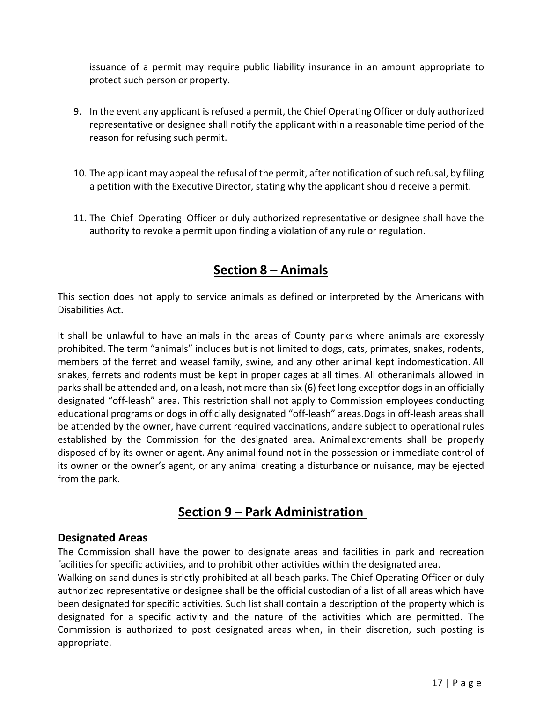issuance of a permit may require public liability insurance in an amount appropriate to protect such person or property.

- 9. In the event any applicant is refused a permit, the Chief Operating Officer or duly authorized representative or designee shall notify the applicant within a reasonable time period of the reason for refusing such permit.
- 10. The applicant may appeal the refusal of the permit, after notification of such refusal, by filing a petition with the Executive Director, stating why the applicant should receive a permit.
- 11. The Chief Operating Officer or duly authorized representative or designee shall have the authority to revoke a permit upon finding a violation of any rule or regulation.

## **Section 8 – Animals**

This section does not apply to service animals as defined or interpreted by the Americans with Disabilities Act.

It shall be unlawful to have animals in the areas of County parks where animals are expressly prohibited. The term "animals" includes but is not limited to dogs, cats, primates, snakes, rodents, members of the ferret and weasel family, swine, and any other animal kept indomestication. All snakes, ferrets and rodents must be kept in proper cages at all times. All otheranimals allowed in parks shall be attended and, on a leash, not more than six (6) feet long except for dogs in an officially designated "off‐leash" area. This restriction shall not apply to Commission employees conducting educational programs or dogs in officially designated "off‐leash" areas. Dogs in off‐leash areas shall be attended by the owner, have current required vaccinations, and are subject to operational rules established by the Commission for the designated area. Animal excrements shall be properly disposed of by its owner or agent. Any animal found not in the possession or immediate control of its owner or the owner's agent, or any animal creating a disturbance or nuisance, may be ejected from the park.

## **Section 9 – Park Administration**

#### **Designated Areas**

The Commission shall have the power to designate areas and facilities in park and recreation facilities for specific activities, and to prohibit other activities within the designated area.

Walking on sand dunes is strictly prohibited at all beach parks. The Chief Operating Officer or duly authorized representative or designee shall be the official custodian of a list of all areas which have been designated for specific activities. Such list shall contain a description of the property which is designated for a specific activity and the nature of the activities which are permitted. The Commission is authorized to post designated areas when, in their discretion, such posting is appropriate.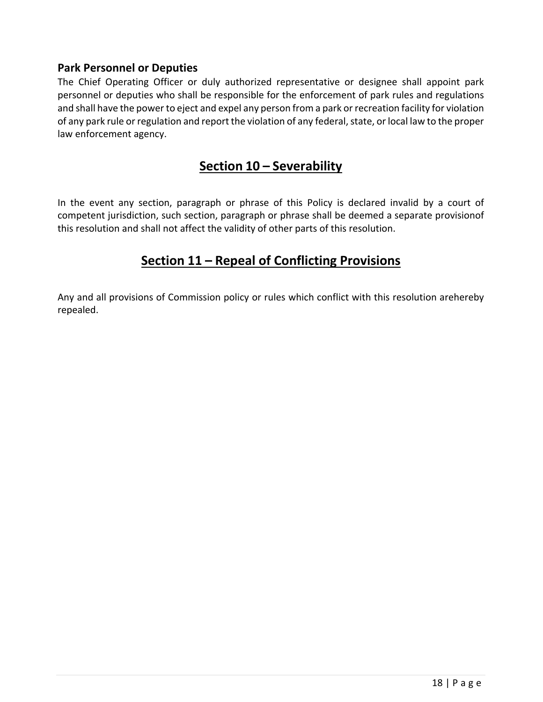#### **Park Personnel or Deputies**

The Chief Operating Officer or duly authorized representative or designee shall appoint park personnel or deputies who shall be responsible for the enforcement of park rules and regulations and shall have the power to eject and expel any person from a park or recreation facility for violation of any park rule or regulation and report the violation of any federal, state, or local law to the proper law enforcement agency.

## **Section 10 – Severability**

In the event any section, paragraph or phrase of this Policy is declared invalid by a court of competent jurisdiction, such section, paragraph or phrase shall be deemed a separate provision of this resolution and shall not affect the validity of other parts of this resolution.

## **Section 11 – Repeal of Conflicting Provisions**

Any and all provisions of Commission policy or rules which conflict with this resolution arehereby repealed.